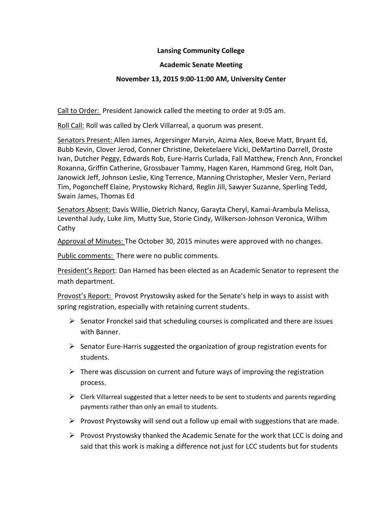### **Lansing Community College**

### **Academic Senate Meeting**

### **November 13, 2015 9:00-11:00 AM, University Center**

Call to Order: President Janowick called the meeting to order at 9:05 am.

Roll Call: Roll was called by Clerk Villarreal, a quorum was present.

Senators Present: Allen James, Argersinger Marvin, Azima Alex, Boeve Matt, Bryant Ed, Bubb Kevin, Clover Jerod, Conner Christine, Deketelaere Vicki, DeMartino Darrell, Droste Ivan, Dutcher Peggy, Edwards Rob, Eure-Harris Curlada, Fall Matthew, French Ann, Fronckel Roxanna, Griffin Catherine, Grossbauer Tammy, Hagen Karen, Hammond Greg, Holt Dan, Janowick Jeff, Johnson Leslie, King Terrence, Manning Christopher, Mesler Vern, Periard Tim, Pogoncheff Elaine, Prystowsky Richard, Reglin Jill, Sawyer Suzanne, Sperling Tedd, Swain James, Thomas Ed

Senators Absent: Davis Willie, Dietrich Nancy, Garayta Cheryl, Kamai-Arambula Melissa, Leventhal Judy, Luke Jim, Mutty Sue, Storie Cindy, Wilkerson-Johnson Veronica, Wilhm Cathy

Approval of Minutes: The October 30, 2015 minutes were approved with no changes.

Public comments: There were no public comments.

President's Report: Dan Harned has been elected as an Academic Senator to represent the math department.

Provost's Report: Provost Prystowsky asked for the Senate's help in ways to assist with spring registration, especially with retaining current students.

- $\triangleright$  Senator Fronckel said that scheduling courses is complicated and there are issues with Banner.
- $\triangleright$  Senator Eure-Harris suggested the organization of group registration events for students.
- $\triangleright$  There was discussion on current and future ways of improving the registration process.
- $\triangleright$  Clerk Villarreal suggested that a letter needs to be sent to students and parents regarding payments rather than only an email to students.
- $\triangleright$  Provost Prystowsky will send out a follow up email with suggestions that are made.
- $\triangleright$  Provost Prystowsky thanked the Academic Senate for the work that LCC is doing and said that this work is making a difference not just for LCC students but for students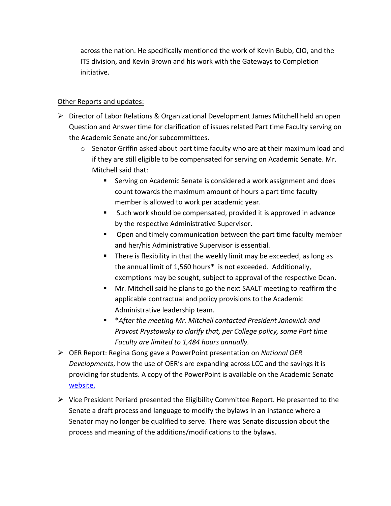across the nation. He specifically mentioned the work of Kevin Bubb, CIO, and the ITS division, and Kevin Brown and his work with the Gateways to Completion initiative.

# Other Reports and updates:

- $\triangleright$  Director of Labor Relations & Organizational Development James Mitchell held an open Question and Answer time for clarification of issues related Part time Faculty serving on the Academic Senate and/or subcommittees.
	- $\circ$  Senator Griffin asked about part time faculty who are at their maximum load and if they are still eligible to be compensated for serving on Academic Senate. Mr. Mitchell said that:
		- **EXECT** Serving on Academic Senate is considered a work assignment and does count towards the maximum amount of hours a part time faculty member is allowed to work per academic year.
		- Such work should be compensated, provided it is approved in advance by the respective Administrative Supervisor.
		- **Den and timely communication between the part time faculty member** and her/his Administrative Supervisor is essential.
		- **There is flexibility in that the weekly limit may be exceeded, as long as** the annual limit of 1,560 hours\* is not exceeded. Additionally, exemptions may be sought, subject to approval of the respective Dean.
		- Mr. Mitchell said he plans to go the next SAALT meeting to reaffirm the applicable contractual and policy provisions to the Academic Administrative leadership team.
		- \**After the meeting Mr. Mitchell contacted President Janowick and Provost Prystowsky to clarify that, per College policy, some Part time Faculty are limited to 1,484 hours annually.*
- OER Report: Regina Gong gave a PowerPoint presentation on *National OER Developments*, how the use of OER's are expanding across LCC and the savings it is providing for students. A copy of the PowerPoint is available on the Academic Senate [website.](https://lansingcc.sharepoint.com/sites/Interdivisional/Academic-Senate/_layouts/15/start.aspx#/SitePages/Home.aspx?RootFolder=%2Fsites%2FInterdivisional%2FAcademic%2DSenate%2FShared%20Documents%2FPresentations&FolderCTID=0x0120009BE30C6FE551C249B4E82918219BF2AC&View=%7B1B2AE73F%2D6BE4%2D4FEA%2DA32E%2D192117AE1496%7D)
- $\triangleright$  Vice President Periard presented the Eligibility Committee Report. He presented to the Senate a draft process and language to modify the bylaws in an instance where a Senator may no longer be qualified to serve. There was Senate discussion about the process and meaning of the additions/modifications to the bylaws.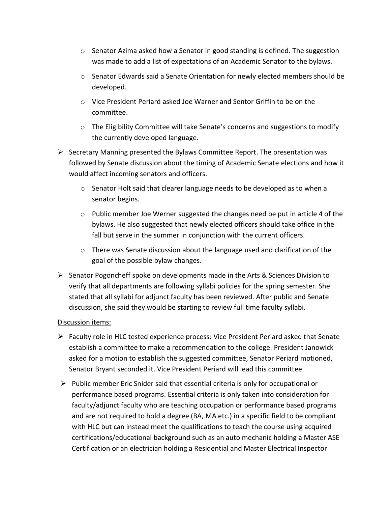- $\circ$  Senator Azima asked how a Senator in good standing is defined. The suggestion was made to add a list of expectations of an Academic Senator to the bylaws.
- $\circ$  Senator Edwards said a Senate Orientation for newly elected members should be developed.
- o Vice President Periard asked Joe Warner and Sentor Griffin to be on the committee.
- o The Eligibility Committee will take Senate's concerns and suggestions to modify the currently developed language.
- $\triangleright$  Secretary Manning presented the Bylaws Committee Report. The presentation was followed by Senate discussion about the timing of Academic Senate elections and how it would affect incoming senators and officers.
	- $\circ$  Senator Holt said that clearer language needs to be developed as to when a senator begins.
	- $\circ$  Public member Joe Werner suggested the changes need be put in article 4 of the bylaws. He also suggested that newly elected officers should take office in the fall but serve in the summer in conjunction with the current officers.
	- $\circ$  There was Senate discussion about the language used and clarification of the goal of the possible bylaw changes.
- $\triangleright$  Senator Pogoncheff spoke on developments made in the Arts & Sciences Division to verify that all departments are following syllabi policies for the spring semester. She stated that all syllabi for adjunct faculty has been reviewed. After public and Senate discussion, she said they would be starting to review full time faculty syllabi.

#### Discussion items:

- Faculty role in HLC tested experience process: Vice President Periard asked that Senate establish a committee to make a recommendation to the college. President Janowick asked for a motion to establish the suggested committee, Senator Periard motioned, Senator Bryant seconded it. Vice President Periard will lead this committee.
- $\triangleright$  Public member Eric Snider said that essential criteria is only for occupational or performance based programs. Essential criteria is only taken into consideration for faculty/adjunct faculty who are teaching occupation or performance based programs and are not required to hold a degree (BA, MA etc.) in a specific field to be compliant with HLC but can instead meet the qualifications to teach the course using acquired certifications/educational background such as an auto mechanic holding a Master ASE Certification or an electrician holding a Residential and Master Electrical Inspector